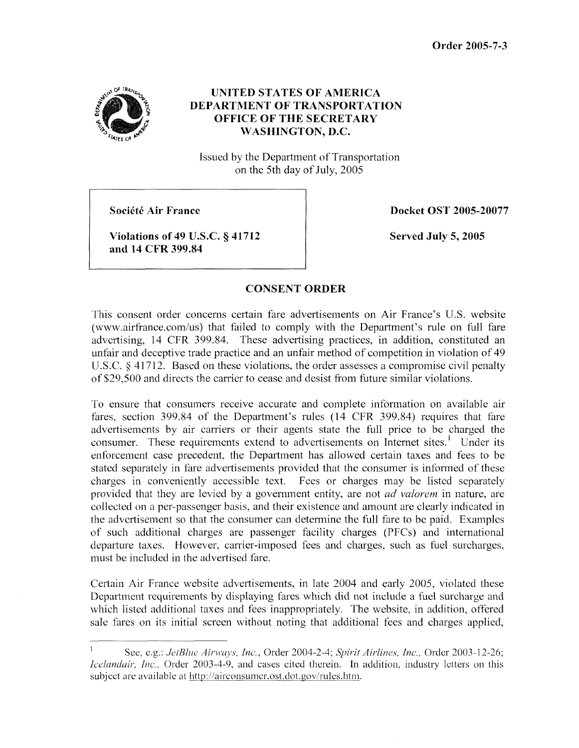**Order 2005-7-3** 



## **UNITED STATES OF AMERICA DEPARTMENT OF TRANSPORTATION OFFICE OF THE SECRETARY WASHINGTON, D.C.**

Issued by the Department of Transportation on the 5th day of July, 2005

**Société Air France** 

**Docket OST 2005-20077** 

**Violations of 49 U.S.C. § 41712 and 14 CFR 399.84** 

**Served July 5,2005** 

## **CONSENT ORDER**

This consent order concerns certain fare advertisements on Air France's U.S. website (www.airfrance.com/us) that failed to comply with the Department's rule on full fare advertising, 14 CFR 399.84. These advertising practices, in addition, constituted an unfair and deceptive trade practice and an unfair method of competition in violation of 49 U.S.C.  $\S$  41712. Based on these violations, the order assesses a compromise civil penalty of \$29,500 and directs the carrier to cease and desist from hture similar violations.

To ensure that consumers receive accurate and complete information on available air fares, section 399.84 of the Department's rules (14 CFR 399.84) requires that fare advertisements by air carriers or their agents state the full price to be charged the consumer. These requirements extend to advertisements on Internet sites.' Under its enforcement case precedent, the Department has allowed certain taxes and fees to be stated separately in fare advertisements provided that the consumer is informed of these charges in conveniently accessible text. Fees or charges may be listed separately provided that they are levied by a government entity, are not *ad valorem* in nature, are collected on a per-passenger basis, and their existence and amount are clearly indicated in the advertisement so that the consumer can determine the full fare to be paid. Examples of such additional charges are passenger facility charges (PFCs) and international departure taxes. However, carrier-imposed fees and charges, such as fuel surcharges, must be included in the advertised fare.

Certain Air France website advertisements, in late 2004 and early 2005, violated these Department requirements by displaying fares which did not include a fuel surcharge and which listed additional taxes and fees inappropriately. The website, in addition, offered sale fares on its initial screcn without noting that additional fees and charges applied,

See, e.g.: *JetBlue Airways, Inc., Order 2004-2-4; Spirit Airlines, Inc., Order 2003-12-26; Icelandair, Inc.*, Order 2003-4-9, and cases cited therein. In addition, industry letters on this subject are available at http://airconsumer.ost.dot.gov/rules.htm. I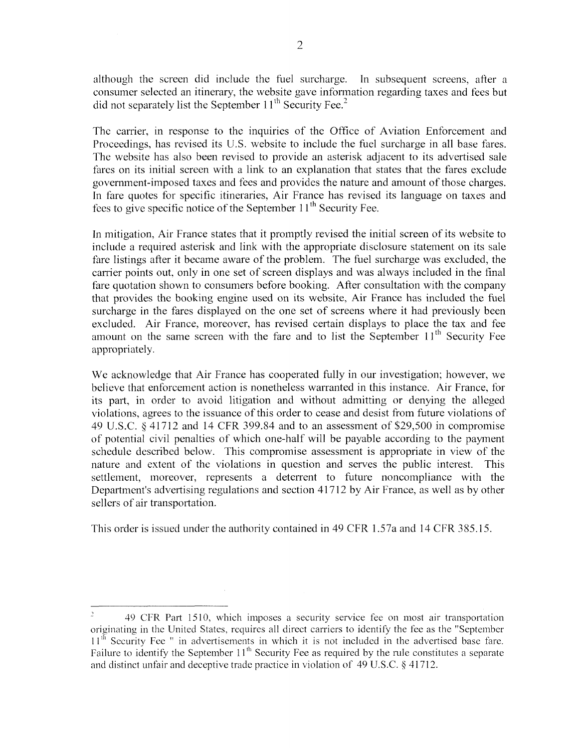although the screen did include the fuel surcharge. In subsequent screens, after a consumer selected an itinerary, the website gave information regarding taxes and fees but did not separately list the September  $11<sup>th</sup>$  Security Fee.<sup>2</sup>

The carrier, in response to the inquiries of the Office of Aviation Enforcement and Proceedings, has revised its U.S. website to include the fuel surcharge in all base fares. The website has also been revised to provide an asterisk adjacent to its advertised sale fares on its initial screen with a link to an explanation that states that the fares exclude government-imposed taxes and fees and provides the nature and amount of those charges. In fare quotes for specific itineraries, Air France has revised its language on taxes and fees to give specific notice of the September  $11<sup>th</sup>$  Security Fee.

In mitigation, Air France states that it promptly revised the initial screen of its website to include a required asterisk and link with the appropriate disclosure statement on its sale fare listings after it became aware of the problem. The fuel surcharge was excluded, the carrier points out, only in one set of screen displays and was always included in the final fare quotation shown to consumers before booking. After consultation with the company that provides the booking engine used on its website, Air France has included the fuel surcharge in the fares displayed on the one set of screens where it had previously been excluded. Air France, moreover, has revised certain displays to place the tax and fee amount on the same screen with the fare and to list the September  $11<sup>th</sup>$  Security Fee appropriately.

We acknowledge that Air France has cooperated fully in our investigation; however, we believe that enforcement action is nonetheless warranted in this instance. Air France, for its part, in order to avoid litigation and without admitting or denying the alleged violations, agrees to the issuance of this order to cease and desist from future violations of 49 U.S.C. **8** 41712 and 14 CFR 399.84 and to an assessment of\$29,500 in compromise of potential civil penalties of which one-half will be payable according to the payment schedule described below. This compromise assessment is appropriate in view of the nature and extent of the violations in question and serves the public interest. This settlement, moreover, represents a deterrent to future noncompliance with the Department's advertising regulations and section 41712 by Air France, as well as by other sellers of air transportation.

This order is issued under the authority contained in 49 CFR 1.57a and 14 CFR 355.15.

<sup>49</sup> CFR Part 15 IO, which imposes a security service fee on most air transportation originating in the United States, requires all direct carriers to identify the fee as the "September 11"' Sccurity Fee **'I** in advertisements in which it is not included in the advertised base fare. Failure to identify the September  $11<sup>th</sup>$  Security Fee as required by the rule constitutes a separate and distinct unfair and deceptive trade practice in violation of  $49 \text{ U.S.C.}$   $8 \frac{41712}{.}$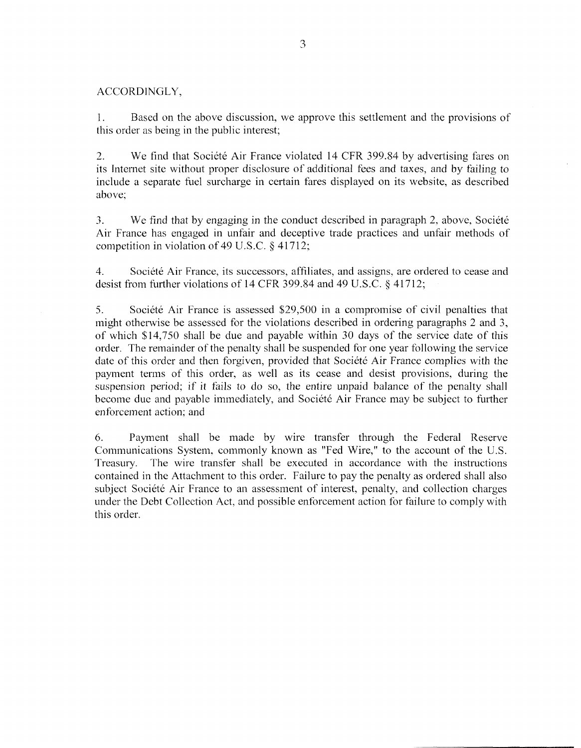## ACCORDINGLY,

**1.**  this order as being in the public interest; Based on the above discussion, we approve this settlement and the provisions of

2. We find that Societe Air France violated 14 CFR 399.84 by advertising fares on its Internet site without proper disclosure of additional fees and taxes, and by failing to include a separate fuel surcharge in certain fares displayed on its website, as described above;

3. We find that by engaging in the conduct described in paragraph 2, above, Societe Air France has engaged in unfair and deceptive trade practices and unfair methods of competition in violation of 49 U.S.C.  $\S$  41712;

4. desist from further violations of 14 CFR 399.84 and 49 U.S.C. § 41712; Société Air France, its successors, affiliates, and assigns, are ordered to cease and

5. Société Air France is assessed \$29,500 in a compromise of civil penalties that might otherwise be assessed for the violations described in ordering paragraphs 2 and 3, of which \$14,750 shall be due and payable within 30 days of the service date of this order. The remainder of the penalty shall be suspended for one year following the service date of this order and then forgiven, provided that Société Air France complies with the payment terms of this order, as well as its cease and desist provisions, during the suspension period; if it fails to do so, the entire unpaid balance of the penalty shall become due and payable immediately, and Société Air France may be subject to further enforcement action; and

6. Payment shall be made by wire transfer through the Federal Reserve Communications System, commonly known as "Fed Wire," to the account of the U.S. Treasury. The wire transfer shall be executed in accordance with the instructions contained in the Attachment to this order. Failure to pay the penalty as ordered shall also subject Société Air France to an assessment of interest, penalty, and collection charges under the Debt Collection Act, and possible enforcement action for failure to comply with this order.